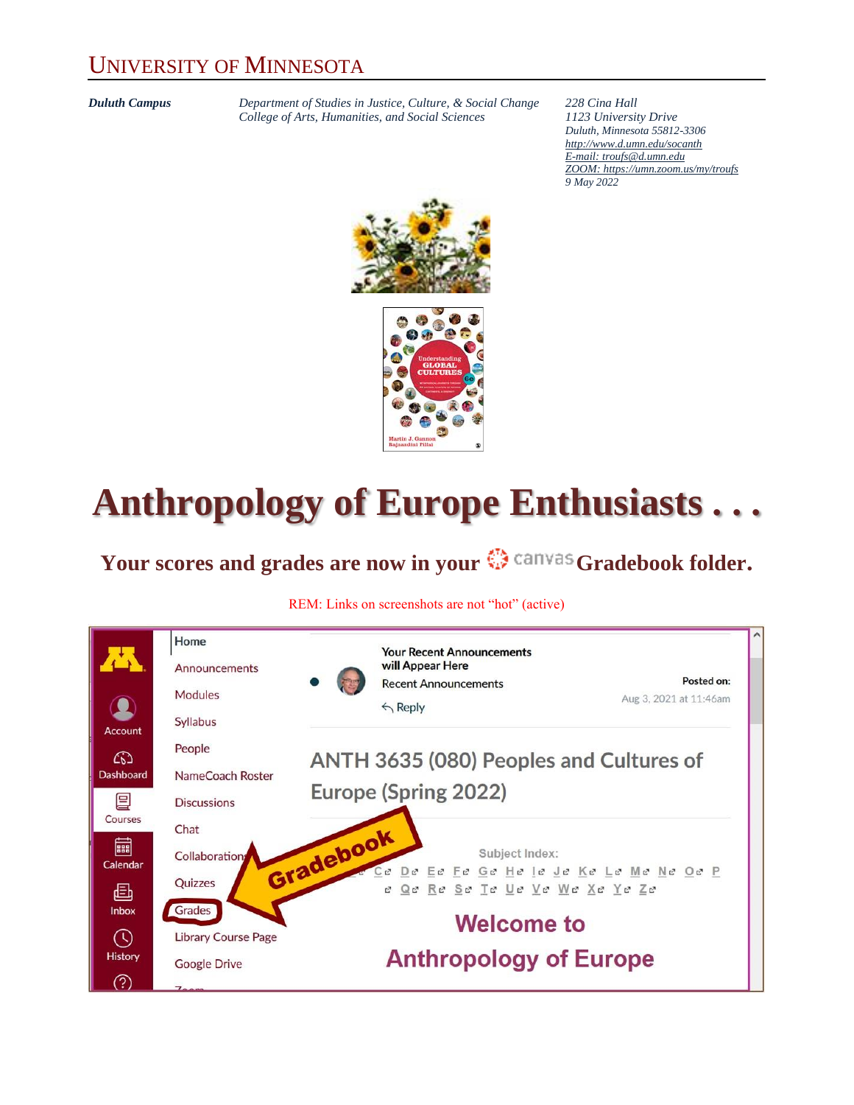#### UNIVERSITY OF MINNESOTA

*Duluth Campus Department of Studies in Justice, Culture, & Social Change 228 Cina Hall College of Arts, Humanities, and Social Sciences 1123 University Drive*

*Duluth, Minnesota 55812-3306 <http://www.d.umn.edu/socanth> E-mail: [troufs@d.umn.edu](mailto:troufs@d.umn.edu) ZOOM[: https://umn.zoom.us/my/troufs](https://umn.zoom.us/my/troufs) 9 May 2022*



# **Anthropology of Europe Enthusiasts . . .**

### Your scores and grades are now in your  $\mathbb{G}$  canvas Gradebook folder.

#### REM: Links on screenshots are not "hot" (active)

|                                      | Home<br>Announcements                                | <b>Your Recent Announcements</b><br>will Appear Here<br>Posted on:          |  |  |  |  |  |  |
|--------------------------------------|------------------------------------------------------|-----------------------------------------------------------------------------|--|--|--|--|--|--|
| Account                              | Modules<br>Syllabus                                  | <b>Recent Announcements</b><br>Aug 3, 2021 at 11:46am<br>$\leftarrow$ Reply |  |  |  |  |  |  |
| ඟ<br>Dashboard                       | People<br>NameCoach Roster                           | ANTH 3635 (080) Peoples and Cultures of                                     |  |  |  |  |  |  |
| 囯                                    | <b>Discussions</b>                                   | Europe (Spring 2022)                                                        |  |  |  |  |  |  |
| Courses<br>翩                         | Chat                                                 | Subject Index:                                                              |  |  |  |  |  |  |
| Calendar                             | Quizzes                                              | De Ee Fe Ge He le Je Ke Le Me Ne Oe P<br>Qe Re Se Te Ue Ve We Xe Ye Ze      |  |  |  |  |  |  |
| <b>Inbox</b>                         | Grades                                               | <b>Welcome to</b>                                                           |  |  |  |  |  |  |
| <b>History</b>                       | <b>Google Drive</b>                                  | <b>Anthropology of Europe</b>                                               |  |  |  |  |  |  |
| 画<br>$\left(\mathsf{L}\right)$<br>?) | Collaboration<br><b>Library Course Page</b><br>7.000 | Gradebook                                                                   |  |  |  |  |  |  |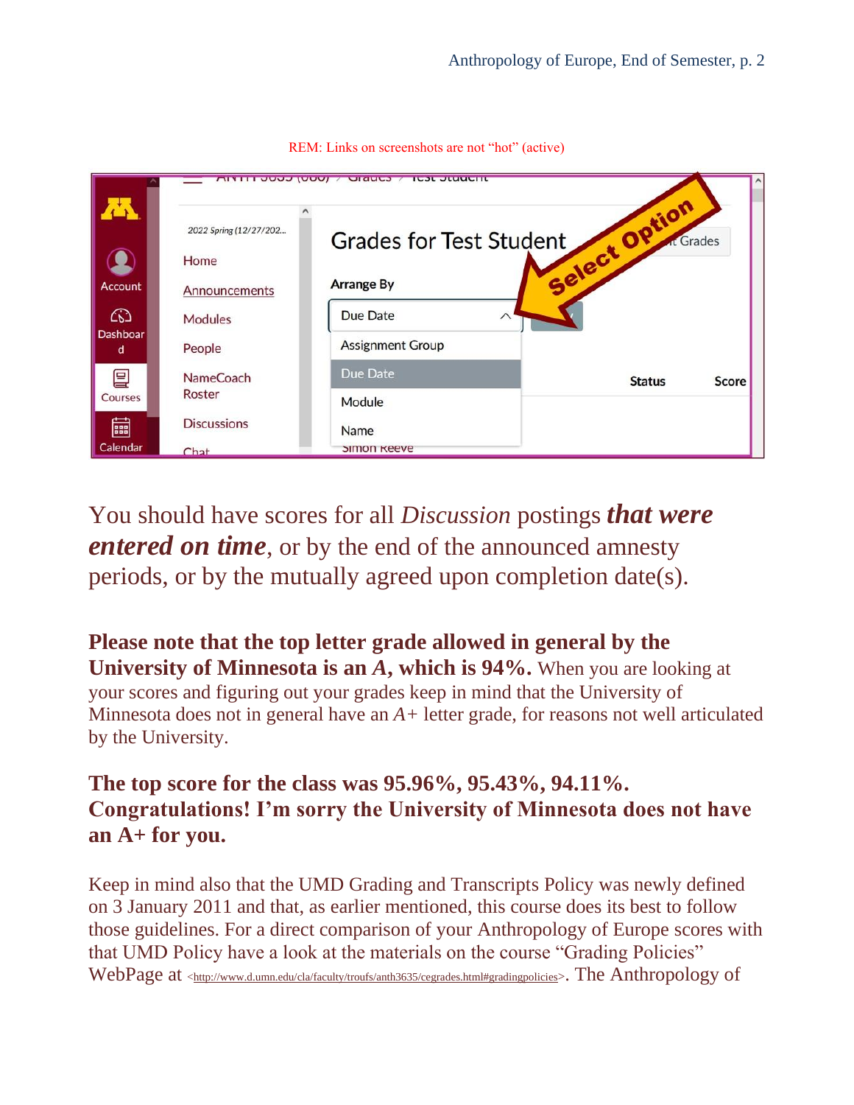|                | <b>AITH JUUU (UUU)</b> | <b>TOOL OLUMPILE</b><br>U(1)   |               |           |
|----------------|------------------------|--------------------------------|---------------|-----------|
|                | 2022 Spring (12/27/202 | <b>Grades for Test Student</b> | tio           | At Grades |
|                | Home                   |                                | Select Op.    |           |
| <b>Account</b> | Announcements          | <b>Arrange By</b>              |               |           |
| ඟ              | <b>Modules</b>         | Due Date<br>$\wedge$           |               |           |
| Dashboar<br>d  | People                 | <b>Assignment Group</b>        |               |           |
| 囯              | <b>NameCoach</b>       | Due Date                       | <b>Status</b> | Score     |
| Courses        | Roster                 | Module                         |               |           |
| بب<br>888      | <b>Discussions</b>     | Name                           |               |           |
| Calendar       | $Chat$                 | <b>SIMON Keeve</b>             |               |           |

REM: Links on screenshots are not "hot" (active)

You should have scores for all *Discussion* postings *that were entered on time*, or by the end of the announced amnesty periods, or by the mutually agreed upon completion date(s).

**Please note that the top letter grade allowed in general by the University of Minnesota is an** *A***, which is 94%.** When you are looking at your scores and figuring out your grades keep in mind that the University of Minnesota does not in general have an *A+* letter grade, for reasons not well articulated by the University.

#### **The top score for the class was 95.96%, 95.43%, 94.11%. Congratulations! I'm sorry the University of Minnesota does not have an A+ for you.**

Keep in mind also that the UMD Grading and Transcripts Policy was newly defined on 3 January 2011 and that, as earlier mentioned, this course does its best to follow those guidelines. For a direct comparison of your Anthropology of Europe scores with that UMD Policy have a look at the materials on the course "Grading Policies" WebPage at [<http://www.d.umn.edu/cla/faculty/troufs/anth3635/cegrades.html#gradingpolicies](http://www.d.umn.edu/cla/faculty/troufs/anth3635/cegrades.html#gradingpolicies)>. The Anthropology of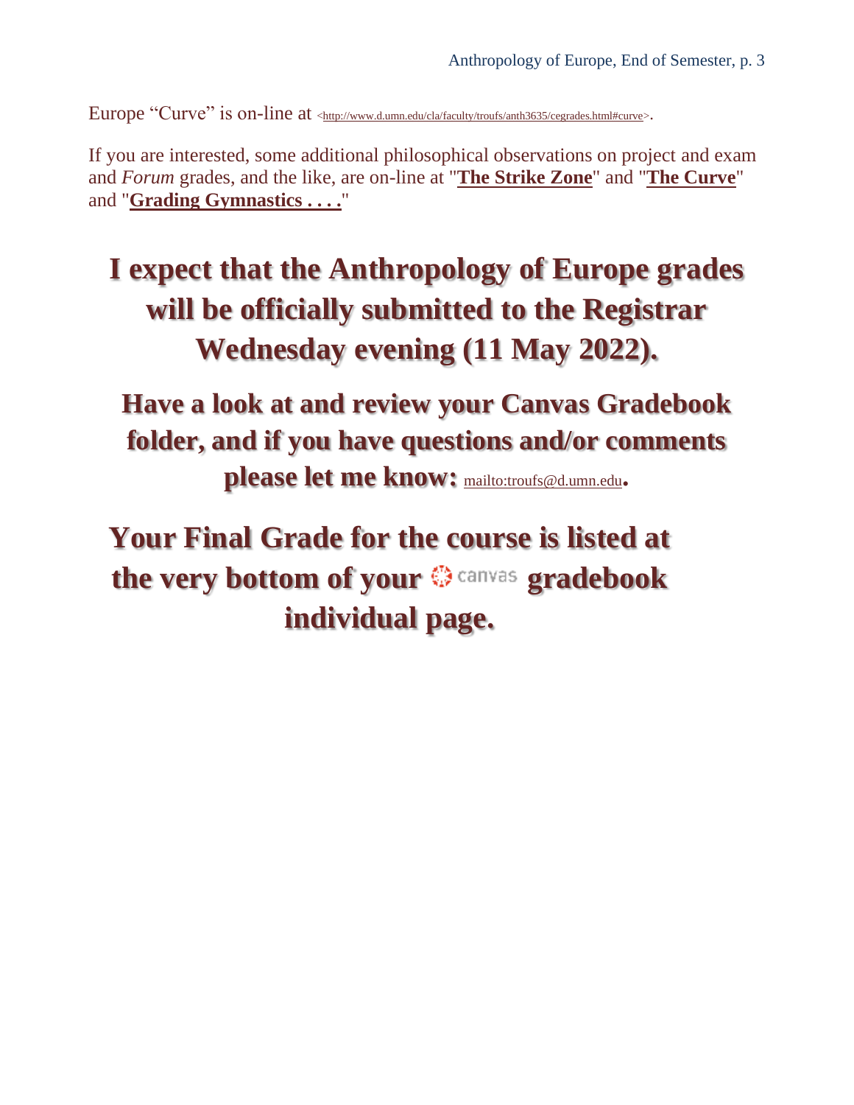Europe "Curve" is on-line at [<http://www.d.umn.edu/cla/faculty/troufs/anth3635/cegrades.html#curve>](http://www.d.umn.edu/cla/faculty/troufs/anth3635/cegrades.html#curve).

If you are interested, some additional philosophical observations on project and exam and *Forum* grades, and the like, are on-line at "**[The Strike Zone](http://www.d.umn.edu/cla/faculty/troufs/anth3635/cegrades.html#strikezone)**" and "**[The Curve](http://www.d.umn.edu/cla/faculty/troufs/anth3635/cegrades.html#curve)**" and "**[Grading Gymnastics](http://www.d.umn.edu/cla/faculty/troufs/anth3635/cegrades.html#gymnastics) . . . .**"

### **I expect that the Anthropology of Europe grades will be officially submitted to the Registrar Wednesday evening (11 May 2022).**

**Have a look at and review your Canvas Gradebook folder, and if you have questions and/or comments please let me know:** <mailto:troufs@d.umn.edu>**.**

**Your Final Grade for the course is listed at**  the very bottom of your  $\otimes$  canvas gradebook **individual page.**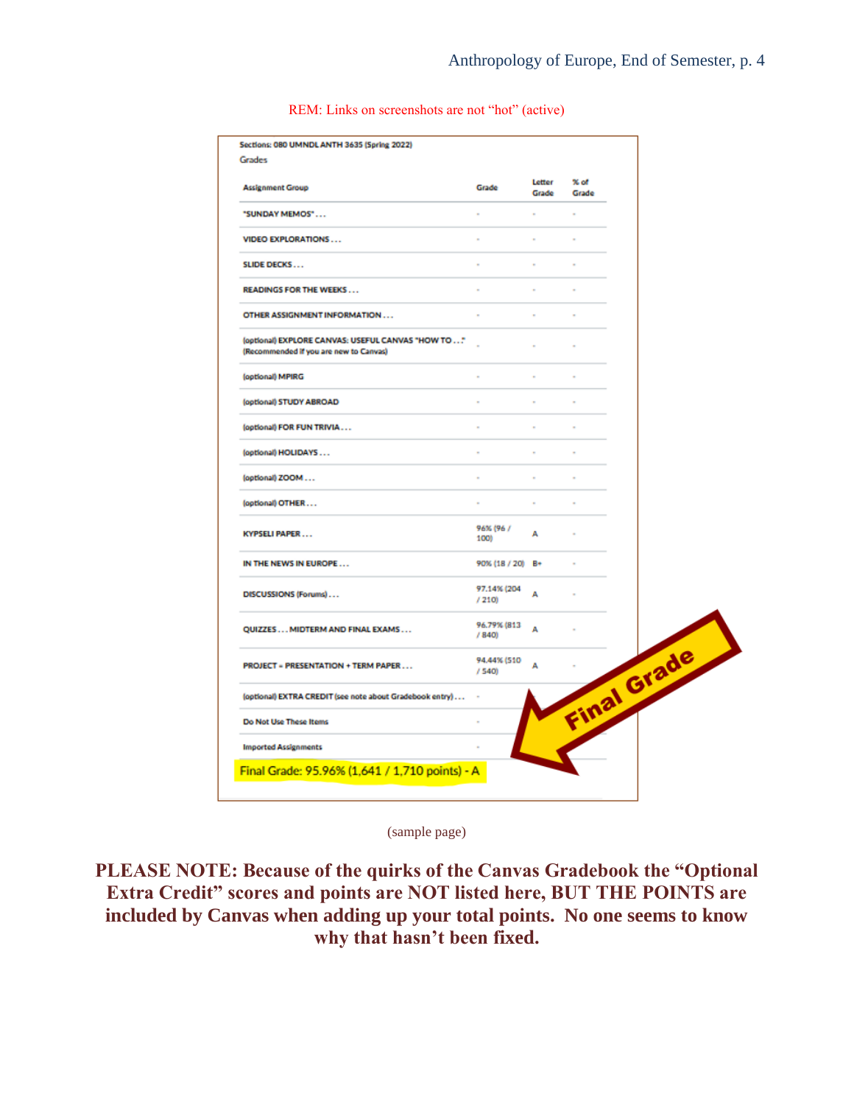| <b>Assignment Group</b>                                                                      | Grade                | Letter<br>Grade | % of<br>Grade |  |
|----------------------------------------------------------------------------------------------|----------------------|-----------------|---------------|--|
| "SUNDAY MEMOS"                                                                               |                      |                 |               |  |
| <b>VIDEO EXPLORATIONS</b>                                                                    | ٠                    |                 | ٠             |  |
| <b>SLIDE DECKS</b>                                                                           | ٠                    | ٠               | à.            |  |
| <b>READINGS FOR THE WEEKS</b>                                                                |                      |                 |               |  |
| OTHER ASSIGNMENT INFORMATION                                                                 |                      |                 |               |  |
| (optional) EXPLORE CANVAS: USEFUL CANVAS "HOW TO "<br>(Recommended if you are new to Canvas) |                      |                 |               |  |
| (optional) MPIRG                                                                             |                      | ٠               | ٠             |  |
| (optional) STUDY ABROAD                                                                      | ٠                    | ٠               | ×             |  |
| (optional) FOR FUN TRIVIA                                                                    |                      |                 |               |  |
| (optional) HOLIDAYS                                                                          |                      |                 |               |  |
| (optional) ZOOM                                                                              | ٠                    | $\sim$          | ٠             |  |
| (optional) OTHER                                                                             | ×                    | ×               | ×             |  |
| <b>KYPSELI PAPER</b>                                                                         | 96% (96 /<br>100)    | А               |               |  |
| IN THE NEWS IN EUROPE                                                                        | 90% (18 / 20) B+     |                 | ٠             |  |
| DISCUSSIONS (Forums)                                                                         | 97.14% (204<br>/210  | А               |               |  |
| QUIZZES MIDTERM AND FINAL EXAMS                                                              | 96.79% (813<br>/840  | А               |               |  |
| <b>PROJECT = PRESENTATION + TERM PAPER</b>                                                   | 94.44% (510<br>/ 540 | А               | Final Grade   |  |
| (optional) EXTRA CREDIT (see note about Gradebook entry)                                     |                      |                 |               |  |
| Do Not Use These Items                                                                       |                      |                 |               |  |
| <b>Imported Assignments</b>                                                                  |                      |                 |               |  |

REM: Links on screenshots are not "hot" (active)

(sample page)

**PLEASE NOTE: Because of the quirks of the Canvas Gradebook the "Optional Extra Credit" scores and points are NOT listed here, BUT THE POINTS are included by Canvas when adding up your total points. No one seems to know why that hasn't been fixed.**